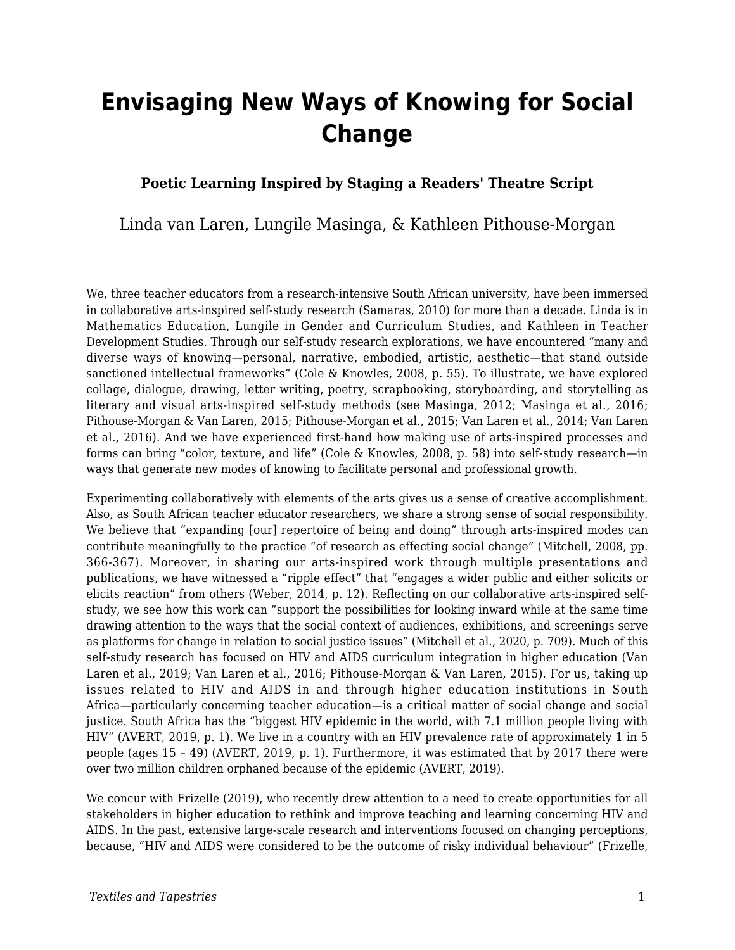# **Envisaging New Ways of Knowing for Social Change**

### **Poetic Learning Inspired by Staging a Readers' Theatre Script**

Linda van Laren, Lungile Masinga, & Kathleen Pithouse-Morgan

We, three teacher educators from a research-intensive South African university, have been immersed in collaborative arts-inspired self-study research (Samaras, 2010) for more than a decade. Linda is in Mathematics Education, Lungile in Gender and Curriculum Studies, and Kathleen in Teacher Development Studies. Through our self-study research explorations, we have encountered "many and diverse ways of knowing—personal, narrative, embodied, artistic, aesthetic—that stand outside sanctioned intellectual frameworks" (Cole & Knowles, 2008, p. 55). To illustrate, we have explored collage, dialogue, drawing, letter writing, poetry, scrapbooking, storyboarding, and storytelling as literary and visual arts-inspired self-study methods (see Masinga, 2012; Masinga et al., 2016; Pithouse-Morgan & Van Laren, 2015; Pithouse-Morgan et al., 2015; Van Laren et al., 2014; Van Laren et al., 2016). And we have experienced first-hand how making use of arts-inspired processes and forms can bring "color, texture, and life" (Cole & Knowles, 2008, p. 58) into self-study research—in ways that generate new modes of knowing to facilitate personal and professional growth.

Experimenting collaboratively with elements of the arts gives us a sense of creative accomplishment. Also, as South African teacher educator researchers, we share a strong sense of social responsibility. We believe that "expanding [our] repertoire of being and doing" through arts-inspired modes can contribute meaningfully to the practice "of research as effecting social change" (Mitchell, 2008, pp. 366-367). Moreover, in sharing our arts-inspired work through multiple presentations and publications, we have witnessed a "ripple effect" that "engages a wider public and either solicits or elicits reaction" from others (Weber, 2014, p. 12). Reflecting on our collaborative arts-inspired selfstudy, we see how this work can "support the possibilities for looking inward while at the same time drawing attention to the ways that the social context of audiences, exhibitions, and screenings serve as platforms for change in relation to social justice issues" (Mitchell et al., 2020, p. 709). Much of this self-study research has focused on HIV and AIDS curriculum integration in higher education (Van Laren et al., 2019; Van Laren et al., 2016; Pithouse-Morgan & Van Laren, 2015). For us, taking up issues related to HIV and AIDS in and through higher education institutions in South Africa—particularly concerning teacher education—is a critical matter of social change and social justice. South Africa has the "biggest HIV epidemic in the world, with 7.1 million people living with HIV" (AVERT, 2019, p. 1). We live in a country with an HIV prevalence rate of approximately 1 in 5 people (ages 15 – 49) (AVERT, 2019, p. 1). Furthermore, it was estimated that by 2017 there were over two million children orphaned because of the epidemic (AVERT, 2019).

We concur with Frizelle (2019), who recently drew attention to a need to create opportunities for all stakeholders in higher education to rethink and improve teaching and learning concerning HIV and AIDS. In the past, extensive large-scale research and interventions focused on changing perceptions, because, "HIV and AIDS were considered to be the outcome of risky individual behaviour" (Frizelle,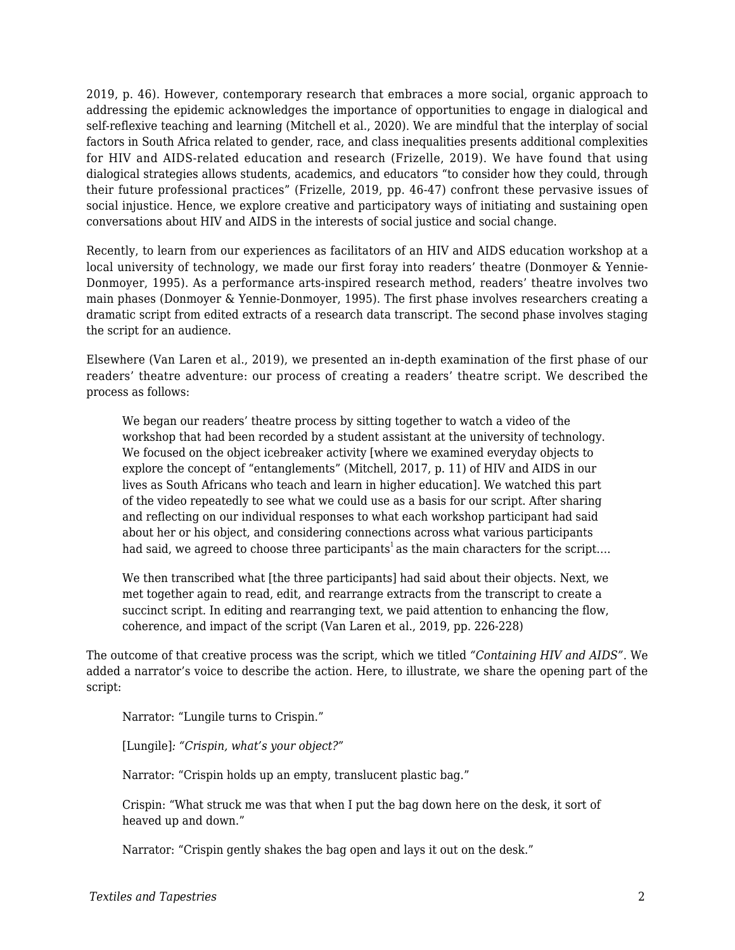2019, p. 46). However, contemporary research that embraces a more social, organic approach to addressing the epidemic acknowledges the importance of opportunities to engage in dialogical and self-reflexive teaching and learning (Mitchell et al., 2020). We are mindful that the interplay of social factors in South Africa related to gender, race, and class inequalities presents additional complexities for HIV and AIDS-related education and research (Frizelle, 2019). We have found that using dialogical strategies allows students, academics, and educators "to consider how they could, through their future professional practices" (Frizelle, 2019, pp. 46-47) confront these pervasive issues of social injustice. Hence, we explore creative and participatory ways of initiating and sustaining open conversations about HIV and AIDS in the interests of social justice and social change.

Recently, to learn from our experiences as facilitators of an HIV and AIDS education workshop at a local university of technology, we made our first foray into readers' theatre (Donmoyer & Yennie-Donmoyer, 1995). As a performance arts-inspired research method, readers' theatre involves two main phases (Donmoyer & Yennie-Donmoyer, 1995). The first phase involves researchers creating a dramatic script from edited extracts of a research data transcript. The second phase involves staging the script for an audience.

Elsewhere (Van Laren et al., 2019), we presented an in-depth examination of the first phase of our readers' theatre adventure: our process of creating a readers' theatre script. We described the process as follows:

We began our readers' theatre process by sitting together to watch a video of the workshop that had been recorded by a student assistant at the university of technology. We focused on the object icebreaker activity [where we examined everyday objects to explore the concept of "entanglements" (Mitchell, 2017, p. 11) of HIV and AIDS in our lives as South Africans who teach and learn in higher education]. We watched this part of the video repeatedly to see what we could use as a basis for our script. After sharing and reflecting on our individual responses to what each workshop participant had said about her or his object, and considering connections across what various participants had said, we agreed to choose three participants<sup>1</sup> as the main characters for the script....

We then transcribed what [the three participants] had said about their objects. Next, we met together again to read, edit, and rearrange extracts from the transcript to create a succinct script. In editing and rearranging text, we paid attention to enhancing the flow, coherence, and impact of the script (Van Laren et al., 2019, pp. 226-228)

The outcome of that creative process was the script, which we titled *"Containing HIV and AIDS".* We added a narrator's voice to describe the action. Here, to illustrate, we share the opening part of the script:

Narrator: "Lungile turns to Crispin."

[Lungile]*: "Crispin, what's your object?"*

Narrator: "Crispin holds up an empty, translucent plastic bag."

Crispin: "What struck me was that when I put the bag down here on the desk, it sort of heaved up and down."

Narrator: "Crispin gently shakes the bag open and lays it out on the desk."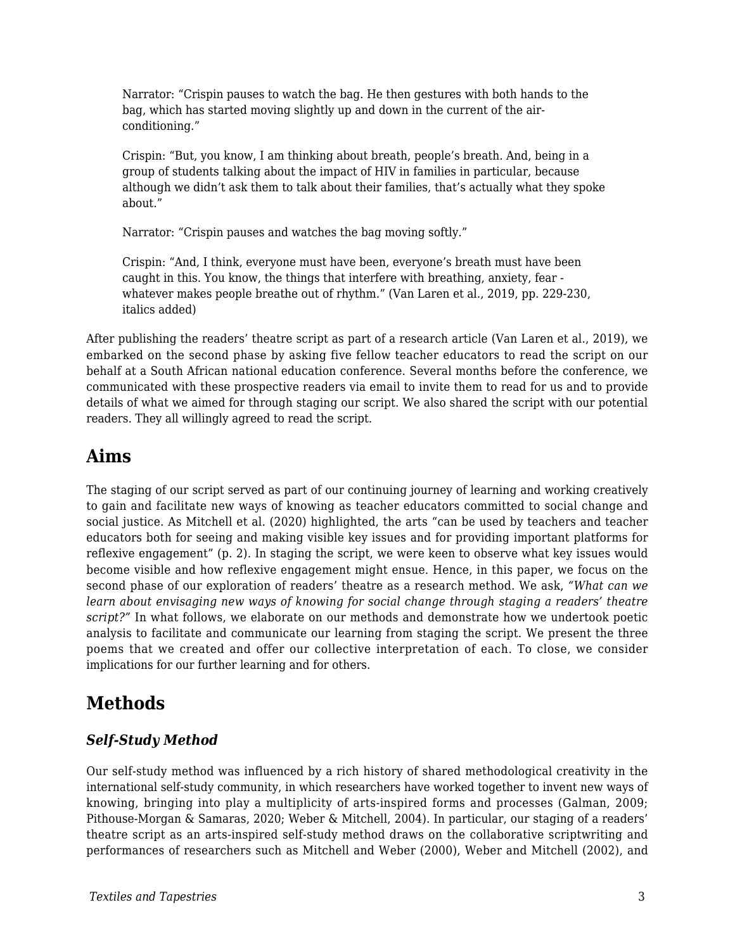Narrator: "Crispin pauses to watch the bag. He then gestures with both hands to the bag, which has started moving slightly up and down in the current of the airconditioning."

Crispin: "But, you know, I am thinking about breath, people's breath. And, being in a group of students talking about the impact of HIV in families in particular, because although we didn't ask them to talk about their families, that's actually what they spoke about."

Narrator: "Crispin pauses and watches the bag moving softly."

Crispin: "And, I think, everyone must have been, everyone's breath must have been caught in this. You know, the things that interfere with breathing, anxiety, fear whatever makes people breathe out of rhythm." (Van Laren et al., 2019, pp. 229-230, italics added)

After publishing the readers' theatre script as part of a research article (Van Laren et al., 2019), we embarked on the second phase by asking five fellow teacher educators to read the script on our behalf at a South African national education conference. Several months before the conference, we communicated with these prospective readers via email to invite them to read for us and to provide details of what we aimed for through staging our script. We also shared the script with our potential readers. They all willingly agreed to read the script.

# **Aims**

The staging of our script served as part of our continuing journey of learning and working creatively to gain and facilitate new ways of knowing as teacher educators committed to social change and social justice. As Mitchell et al. (2020) highlighted, the arts "can be used by teachers and teacher educators both for seeing and making visible key issues and for providing important platforms for reflexive engagement" (p. 2). In staging the script, we were keen to observe what key issues would become visible and how reflexive engagement might ensue. Hence, in this paper, we focus on the second phase of our exploration of readers' theatre as a research method. We ask, *"What can we learn about envisaging new ways of knowing for social change through staging a readers' theatre script?"* In what follows, we elaborate on our methods and demonstrate how we undertook poetic analysis to facilitate and communicate our learning from staging the script. We present the three poems that we created and offer our collective interpretation of each. To close, we consider implications for our further learning and for others.

# **Methods**

### *Self-Study Method*

Our self-study method was influenced by a rich history of shared methodological creativity in the international self-study community, in which researchers have worked together to invent new ways of knowing, bringing into play a multiplicity of arts-inspired forms and processes (Galman, 2009; Pithouse-Morgan & Samaras, 2020; Weber & Mitchell, 2004). In particular, our staging of a readers' theatre script as an arts-inspired self-study method draws on the collaborative scriptwriting and performances of researchers such as Mitchell and Weber (2000), Weber and Mitchell (2002), and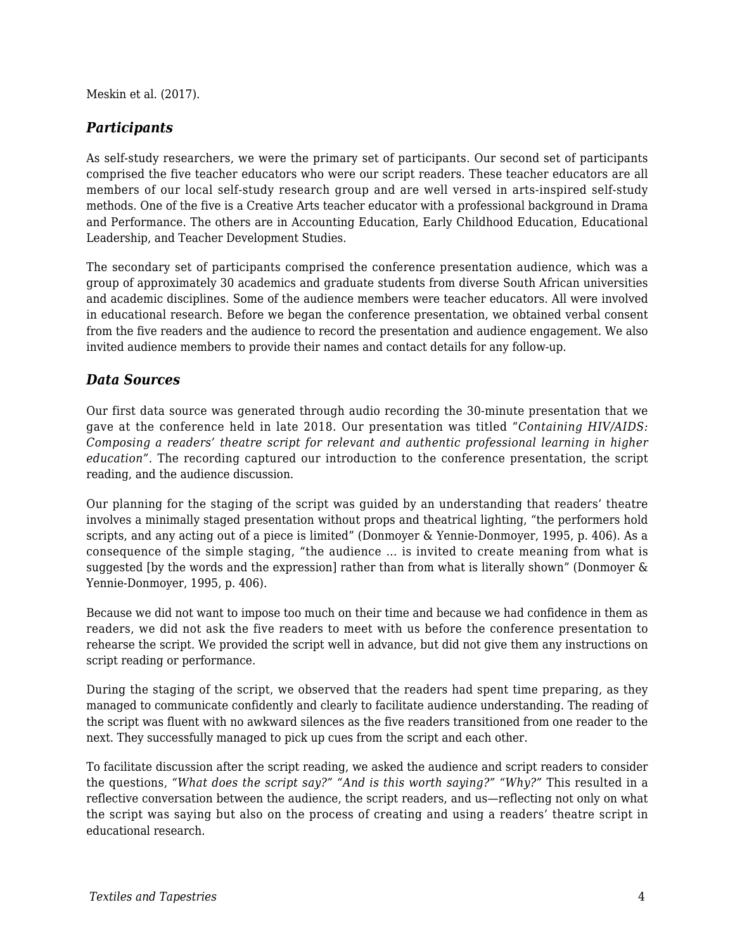Meskin et al. (2017).

#### *Participants*

As self-study researchers, we were the primary set of participants. Our second set of participants comprised the five teacher educators who were our script readers. These teacher educators are all members of our local self-study research group and are well versed in arts-inspired self-study methods. One of the five is a Creative Arts teacher educator with a professional background in Drama and Performance. The others are in Accounting Education, Early Childhood Education, Educational Leadership, and Teacher Development Studies.

The secondary set of participants comprised the conference presentation audience, which was a group of approximately 30 academics and graduate students from diverse South African universities and academic disciplines. Some of the audience members were teacher educators. All were involved in educational research. Before we began the conference presentation, we obtained verbal consent from the five readers and the audience to record the presentation and audience engagement. We also invited audience members to provide their names and contact details for any follow-up.

#### *Data Sources*

Our first data source was generated through audio recording the 30-minute presentation that we gave at the conference held in late 2018. Our presentation was titled "*Containing HIV/AIDS: Composing a readers' theatre script for relevant and authentic professional learning in higher education".* The recording captured our introduction to the conference presentation, the script reading, and the audience discussion.

Our planning for the staging of the script was guided by an understanding that readers' theatre involves a minimally staged presentation without props and theatrical lighting, "the performers hold scripts, and any acting out of a piece is limited" (Donmoyer & Yennie-Donmoyer, 1995, p. 406). As a consequence of the simple staging, "the audience … is invited to create meaning from what is suggested [by the words and the expression] rather than from what is literally shown" (Donmoyer & Yennie-Donmoyer, 1995, p. 406).

Because we did not want to impose too much on their time and because we had confidence in them as readers, we did not ask the five readers to meet with us before the conference presentation to rehearse the script. We provided the script well in advance, but did not give them any instructions on script reading or performance.

During the staging of the script, we observed that the readers had spent time preparing, as they managed to communicate confidently and clearly to facilitate audience understanding. The reading of the script was fluent with no awkward silences as the five readers transitioned from one reader to the next. They successfully managed to pick up cues from the script and each other.

To facilitate discussion after the script reading, we asked the audience and script readers to consider the questions, *"What does the script say?" "And is this worth saying?" "Why?"* This resulted in a reflective conversation between the audience, the script readers, and us—reflecting not only on what the script was saying but also on the process of creating and using a readers' theatre script in educational research.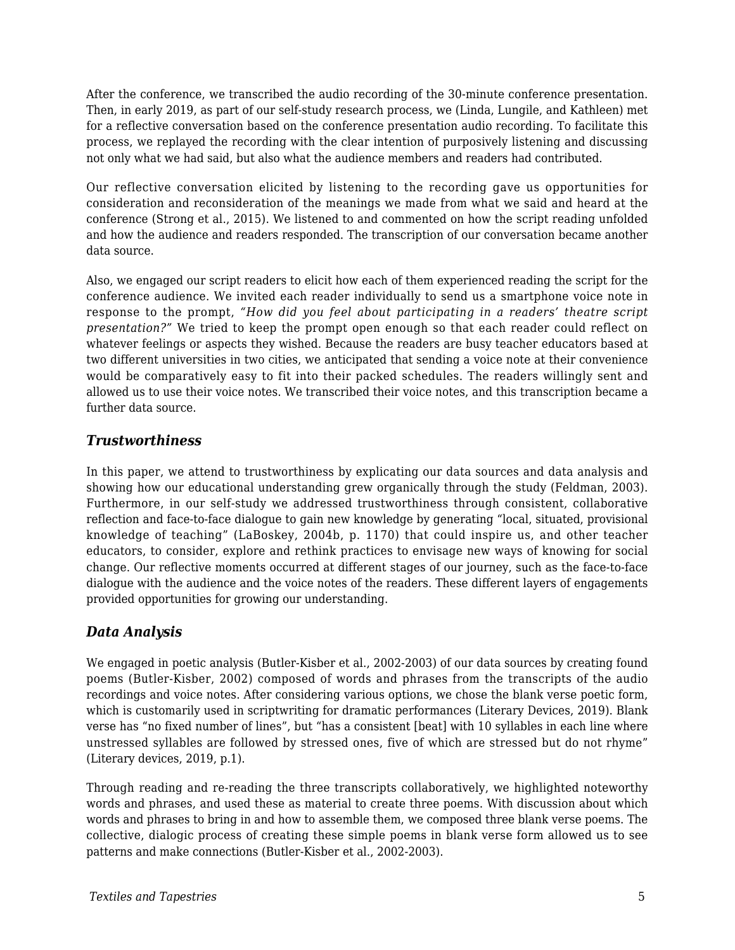After the conference, we transcribed the audio recording of the 30-minute conference presentation. Then, in early 2019, as part of our self-study research process, we (Linda, Lungile, and Kathleen) met for a reflective conversation based on the conference presentation audio recording. To facilitate this process, we replayed the recording with the clear intention of purposively listening and discussing not only what we had said, but also what the audience members and readers had contributed.

Our reflective conversation elicited by listening to the recording gave us opportunities for consideration and reconsideration of the meanings we made from what we said and heard at the conference (Strong et al., 2015). We listened to and commented on how the script reading unfolded and how the audience and readers responded. The transcription of our conversation became another data source.

Also, we engaged our script readers to elicit how each of them experienced reading the script for the conference audience. We invited each reader individually to send us a smartphone voice note in response to the prompt, *"How did you feel about participating in a readers' theatre script presentation?"* We tried to keep the prompt open enough so that each reader could reflect on whatever feelings or aspects they wished. Because the readers are busy teacher educators based at two different universities in two cities, we anticipated that sending a voice note at their convenience would be comparatively easy to fit into their packed schedules. The readers willingly sent and allowed us to use their voice notes. We transcribed their voice notes, and this transcription became a further data source.

### *Trustworthiness*

In this paper, we attend to trustworthiness by explicating our data sources and data analysis and showing how our educational understanding grew organically through the study (Feldman, 2003). Furthermore, in our self-study we addressed trustworthiness through consistent, collaborative reflection and face-to-face dialogue to gain new knowledge by generating "local, situated, provisional knowledge of teaching" (LaBoskey, 2004b, p. 1170) that could inspire us, and other teacher educators, to consider, explore and rethink practices to envisage new ways of knowing for social change. Our reflective moments occurred at different stages of our journey, such as the face-to-face dialogue with the audience and the voice notes of the readers. These different layers of engagements provided opportunities for growing our understanding.

### *Data Analysis*

We engaged in poetic analysis (Butler-Kisber et al., 2002-2003) of our data sources by creating found poems (Butler-Kisber, 2002) composed of words and phrases from the transcripts of the audio recordings and voice notes. After considering various options, we chose the blank verse poetic form, which is customarily used in scriptwriting for dramatic performances (Literary Devices, 2019). Blank verse has "no fixed number of lines", but "has a consistent [beat] with 10 syllables in each line where unstressed syllables are followed by stressed ones, five of which are stressed but do not rhyme" (Literary devices, 2019, p.1).

Through reading and re-reading the three transcripts collaboratively, we highlighted noteworthy words and phrases, and used these as material to create three poems. With discussion about which words and phrases to bring in and how to assemble them, we composed three blank verse poems. The collective, dialogic process of creating these simple poems in blank verse form allowed us to see patterns and make connections (Butler-Kisber et al., 2002-2003).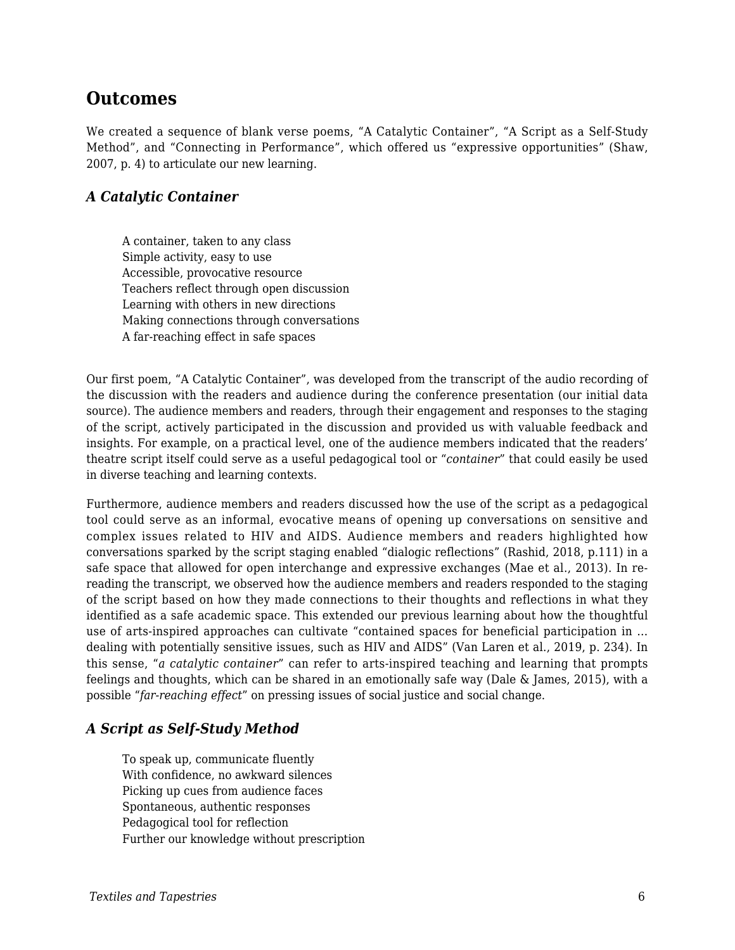## **Outcomes**

We created a sequence of blank verse poems, "A Catalytic Container", "A Script as a Self-Study Method", and "Connecting in Performance", which offered us "expressive opportunities" (Shaw, 2007, p. 4) to articulate our new learning.

#### *A Catalytic Container*

A container, taken to any class Simple activity, easy to use Accessible, provocative resource Teachers reflect through open discussion Learning with others in new directions Making connections through conversations A far-reaching effect in safe spaces

Our first poem, "A Catalytic Container", was developed from the transcript of the audio recording of the discussion with the readers and audience during the conference presentation (our initial data source). The audience members and readers, through their engagement and responses to the staging of the script, actively participated in the discussion and provided us with valuable feedback and insights. For example, on a practical level, one of the audience members indicated that the readers' theatre script itself could serve as a useful pedagogical tool or "*container*" that could easily be used in diverse teaching and learning contexts.

Furthermore, audience members and readers discussed how the use of the script as a pedagogical tool could serve as an informal, evocative means of opening up conversations on sensitive and complex issues related to HIV and AIDS. Audience members and readers highlighted how conversations sparked by the script staging enabled "dialogic reflections" (Rashid, 2018, p.111) in a safe space that allowed for open interchange and expressive exchanges (Mae et al., 2013). In rereading the transcript, we observed how the audience members and readers responded to the staging of the script based on how they made connections to their thoughts and reflections in what they identified as a safe academic space. This extended our previous learning about how the thoughtful use of arts-inspired approaches can cultivate "contained spaces for beneficial participation in … dealing with potentially sensitive issues, such as HIV and AIDS" (Van Laren et al., 2019, p. 234). In this sense, "*a catalytic container*" can refer to arts-inspired teaching and learning that prompts feelings and thoughts, which can be shared in an emotionally safe way (Dale & James, 2015), with a possible "*far-reaching effect*" on pressing issues of social justice and social change.

### *A Script as Self-Study Method*

To speak up, communicate fluently With confidence, no awkward silences Picking up cues from audience faces Spontaneous, authentic responses Pedagogical tool for reflection Further our knowledge without prescription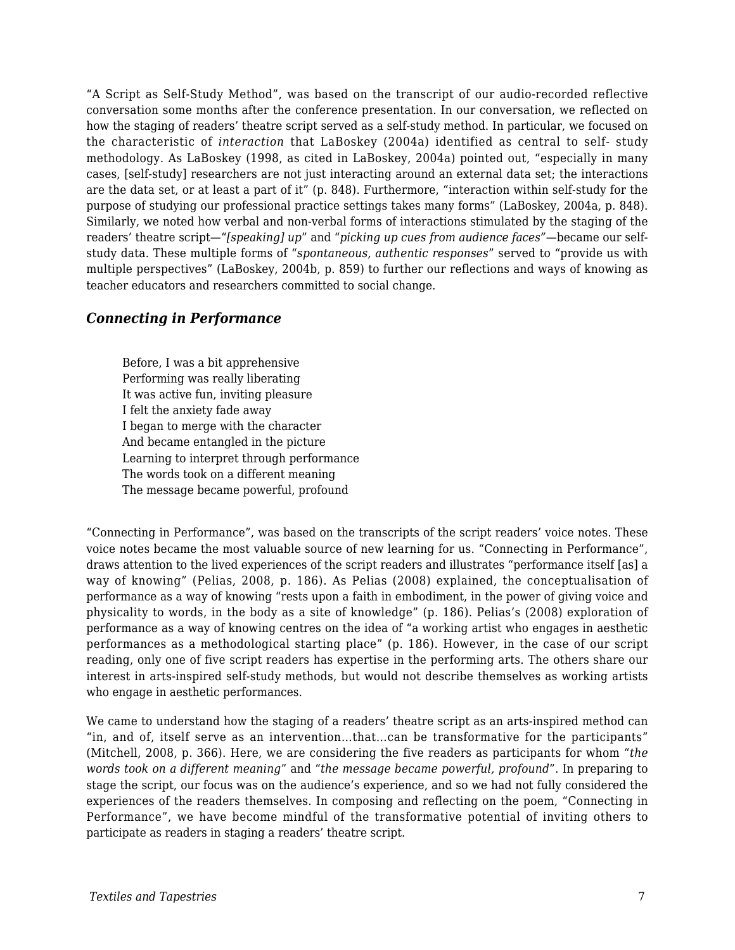"A Script as Self-Study Method", was based on the transcript of our audio-recorded reflective conversation some months after the conference presentation. In our conversation, we reflected on how the staging of readers' theatre script served as a self-study method. In particular, we focused on the characteristic of *interaction* that LaBoskey (2004a) identified as central to self- study methodology. As LaBoskey (1998, as cited in LaBoskey, 2004a) pointed out, "especially in many cases, [self-study] researchers are not just interacting around an external data set; the interactions are the data set, or at least a part of it" (p. 848). Furthermore, "interaction within self-study for the purpose of studying our professional practice settings takes many forms" (LaBoskey, 2004a, p. 848). Similarly, we noted how verbal and non-verbal forms of interactions stimulated by the staging of the readers' theatre script—"*[speaking] up*" and "*picking up cues from audience faces"*—became our selfstudy data. These multiple forms of "*spontaneous, authentic responses*" served to "provide us with multiple perspectives" (LaBoskey, 2004b, p. 859) to further our reflections and ways of knowing as teacher educators and researchers committed to social change.

#### *Connecting in Performance*

Before, I was a bit apprehensive Performing was really liberating It was active fun, inviting pleasure I felt the anxiety fade away I began to merge with the character And became entangled in the picture Learning to interpret through performance The words took on a different meaning The message became powerful, profound

"Connecting in Performance", was based on the transcripts of the script readers' voice notes. These voice notes became the most valuable source of new learning for us. "Connecting in Performance", draws attention to the lived experiences of the script readers and illustrates "performance itself [as] a way of knowing" (Pelias, 2008, p. 186). As Pelias (2008) explained, the conceptualisation of performance as a way of knowing "rests upon a faith in embodiment, in the power of giving voice and physicality to words, in the body as a site of knowledge" (p. 186). Pelias's (2008) exploration of performance as a way of knowing centres on the idea of "a working artist who engages in aesthetic performances as a methodological starting place" (p. 186). However, in the case of our script reading, only one of five script readers has expertise in the performing arts. The others share our interest in arts-inspired self-study methods, but would not describe themselves as working artists who engage in aesthetic performances.

We came to understand how the staging of a readers' theatre script as an arts-inspired method can "in, and of, itself serve as an intervention…that…can be transformative for the participants" (Mitchell, 2008, p. 366). Here, we are considering the five readers as participants for whom "*the words took on a different meaning*" and "*the message became powerful, profound*". In preparing to stage the script, our focus was on the audience's experience, and so we had not fully considered the experiences of the readers themselves. In composing and reflecting on the poem, "Connecting in Performance", we have become mindful of the transformative potential of inviting others to participate as readers in staging a readers' theatre script.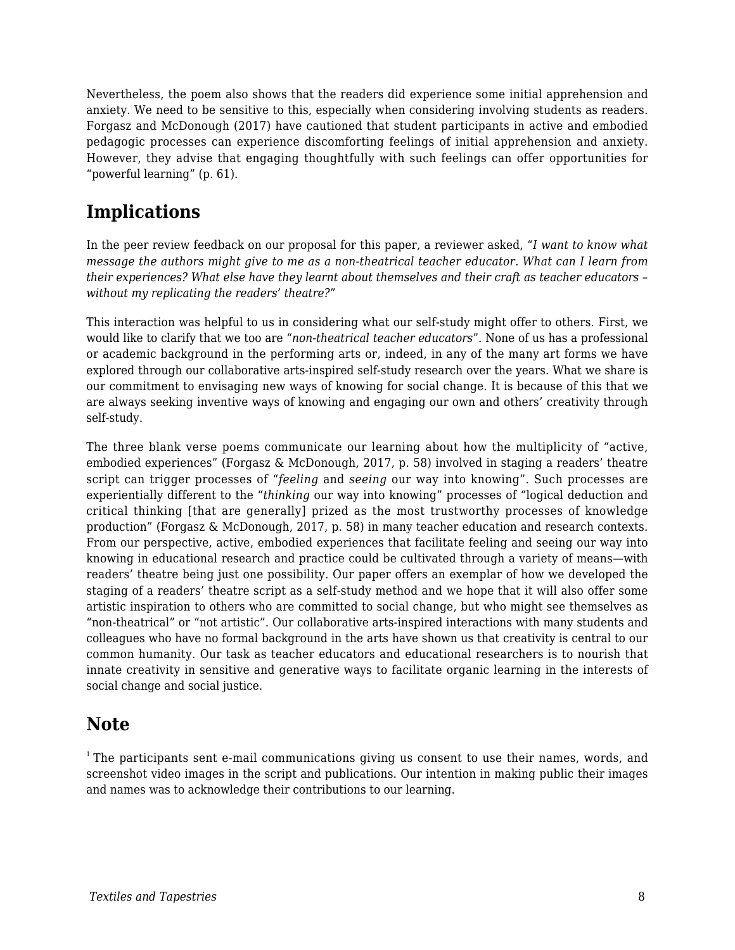Nevertheless, the poem also shows that the readers did experience some initial apprehension and anxiety. We need to be sensitive to this, especially when considering involving students as readers. Forgasz and McDonough (2017) have cautioned that student participants in active and embodied pedagogic processes can experience discomforting feelings of initial apprehension and anxiety. However, they advise that engaging thoughtfully with such feelings can offer opportunities for "powerful learning" (p. 61).

# **Implications**

In the peer review feedback on our proposal for this paper, a reviewer asked, "*I want to know what message the authors might give to me as a non-theatrical teacher educator. What can I learn from their experiences? What else have they learnt about themselves and their craft as teacher educators – without my replicating the readers' theatre?"*

This interaction was helpful to us in considering what our self-study might offer to others. First, we would like to clarify that we too are "*non-theatrical teacher educators*"*.* None of us has a professional or academic background in the performing arts or, indeed, in any of the many art forms we have explored through our collaborative arts-inspired self-study research over the years. What we share is our commitment to envisaging new ways of knowing for social change. It is because of this that we are always seeking inventive ways of knowing and engaging our own and others' creativity through self-study.

The three blank verse poems communicate our learning about how the multiplicity of "active, embodied experiences" (Forgasz & McDonough, 2017, p. 58) involved in staging a readers' theatre script can trigger processes of "*feeling* and *seeing* our way into knowing". Such processes are experientially different to the "*thinking* our way into knowing" processes of "logical deduction and critical thinking [that are generally] prized as the most trustworthy processes of knowledge production" (Forgasz & McDonough, 2017, p. 58) in many teacher education and research contexts. From our perspective, active, embodied experiences that facilitate feeling and seeing our way into knowing in educational research and practice could be cultivated through a variety of means—with readers' theatre being just one possibility. Our paper offers an exemplar of how we developed the staging of a readers' theatre script as a self-study method and we hope that it will also offer some artistic inspiration to others who are committed to social change, but who might see themselves as "non-theatrical" or "not artistic". Our collaborative arts-inspired interactions with many students and colleagues who have no formal background in the arts have shown us that creativity is central to our common humanity. Our task as teacher educators and educational researchers is to nourish that innate creativity in sensitive and generative ways to facilitate organic learning in the interests of social change and social justice.

# **Note**

 $<sup>1</sup>$ The participants sent e-mail communications giving us consent to use their names, words, and</sup> screenshot video images in the script and publications. Our intention in making public their images and names was to acknowledge their contributions to our learning.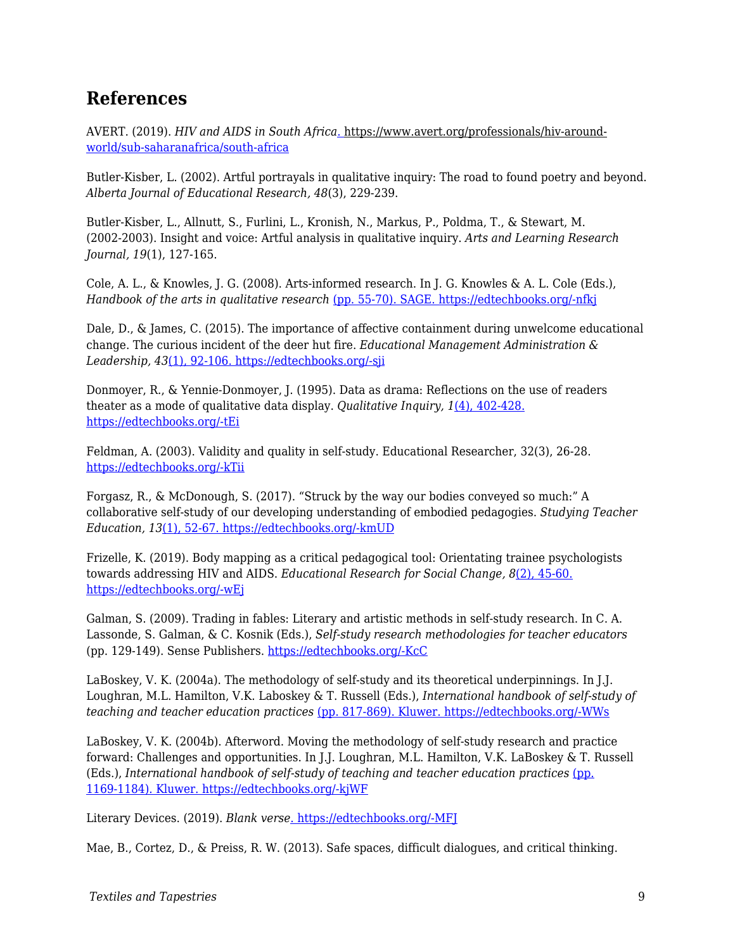# **References**

AVERT. (2019). *HIV and AIDS in South Africa*[. h](https://www.avert.org/professionals/hiv-around-world/sub-saharan-africa/south-africa)ttps://www.avert.org/professionals/hiv-around[world/sub-saharanafrica/south-africa](https://www.avert.org/professionals/hiv-around-world/sub-saharan-africa/south-africa)

Butler-Kisber, L. (2002). Artful portrayals in qualitative inquiry: The road to found poetry and beyond. *Alberta Journal of Educational Research, 48*(3), 229-239.

Butler-Kisber, L., Allnutt, S., Furlini, L., Kronish, N., Markus, P., Poldma, T., & Stewart, M. (2002-2003). Insight and voice: Artful analysis in qualitative inquiry. *Arts and Learning Research Journal, 19*(1), 127-165.

Cole, A. L., & Knowles, J. G. (2008). Arts-informed research. In J. G. Knowles & A. L. Cole (Eds.), *Handbook of the arts in qualitative research* [\(pp. 55-70\). SAGE. https://edtechbooks.org/-nfkj](https://doi.org/10.4135/9781452226545.n5)

Dale, D., & James, C. (2015). The importance of affective containment during unwelcome educational change. The curious incident of the deer hut fire. *Educational Management Administration & Leadership, 43*[\(1\), 92-106. https://edtechbooks.org/-sji](https://doi.org/10.1177/1741143213494885)

Donmoyer, R., & Yennie-Donmoyer, J. (1995). Data as drama: Reflections on the use of readers theater as a mode of qualitative data display. *Qualitative Inquiry, 1*[\(4\), 402-428.](https://doi.org/10.1177/107780049500100403) [https://edtechbooks.org/-tEi](https://doi.org/10.1177/107780049500100403)

Feldman, A. (2003). Validity and quality in self-study. Educational Researcher, 32(3), 26-28. [https://edtechbooks.org/-kTii](https://doi.org/10.3102/0013189X032003026)

Forgasz, R., & McDonough, S. (2017). "Struck by the way our bodies conveyed so much:" A collaborative self-study of our developing understanding of embodied pedagogies. *Studying Teacher Education, 13*[\(1\), 52-67. https://edtechbooks.org/-kmUD](https://doi.org/10.1080/17425964.2017.1286576)

Frizelle, K. (2019). Body mapping as a critical pedagogical tool: Orientating trainee psychologists towards addressing HIV and AIDS. *Educational Research for Social Change, 8*[\(2\), 45-60.](https://doi.org/10.17159/2221-4070/2019/v8i2a4) [https://edtechbooks.org/-wEj](https://doi.org/10.17159/2221-4070/2019/v8i2a4)

Galman, S. (2009). Trading in fables: Literary and artistic methods in self-study research. In C. A. Lassonde, S. Galman, & C. Kosnik (Eds.), *Self-study research methodologies for teacher educators* (pp. 129-149). Sense Publishers. [https://edtechbooks.org/-KcC](https://doi.org/10.1163/9789087906900_009)

LaBoskey, V. K. (2004a). The methodology of self-study and its theoretical underpinnings. In J.J. Loughran, M.L. Hamilton, V.K. Laboskey & T. Russell (Eds.), *International handbook of self-study of teaching and teacher education practices* [\(pp. 817-869\). Kluwer. https://edtechbooks.org/-WWs](https://doi.org/10.1007/978-1-4020-6545-3_21)

LaBoskey, V. K. (2004b). Afterword. Moving the methodology of self-study research and practice forward: Challenges and opportunities. In J.J. Loughran, M.L. Hamilton, V.K. LaBoskey & T. Russell (Eds.), *International handbook of self-study of teaching and teacher education practices* [\(pp.](https://doi.org/10.1007/978-1-4020-6545-3_29) [1169-1184\). Kluwer. https://edtechbooks.org/-kjWF](https://doi.org/10.1007/978-1-4020-6545-3_29)

Literary Devices. (2019). *Blank verse*[. https://edtechbooks.org/-MFJ](https://literarydevices.net/blank-verse/)

Mae, B., Cortez, D., & Preiss, R. W. (2013). Safe spaces, difficult dialogues, and critical thinking.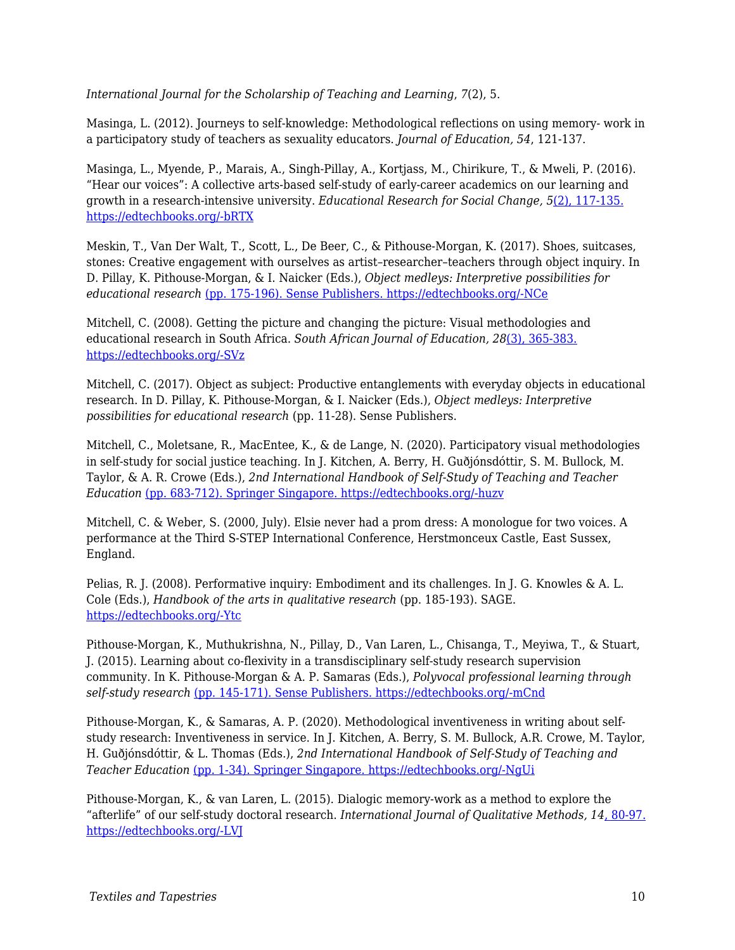*International Journal for the Scholarship of Teaching and Learning*, *7*(2), 5.

Masinga, L. (2012). Journeys to self-knowledge: Methodological reflections on using memory- work in a participatory study of teachers as sexuality educators. *Journal of Education, 54*, 121-137.

Masinga, L., Myende, P., Marais, A., Singh-Pillay, A., Kortjass, M., Chirikure, T., & Mweli, P. (2016). "Hear our voices": A collective arts-based self-study of early-career academics on our learning and growth in a research-intensive university. *Educational Research for Social Change, 5*[\(2\), 117-135.](https://doi.org/10.17159/2221-4070/2016/v5i2a8) [https://edtechbooks.org/-bRTX](https://doi.org/10.17159/2221-4070/2016/v5i2a8)

Meskin, T., Van Der Walt, T., Scott, L., De Beer, C., & Pithouse-Morgan, K. (2017). Shoes, suitcases, stones: Creative engagement with ourselves as artist–researcher–teachers through object inquiry. In D. Pillay, K. Pithouse-Morgan, & I. Naicker (Eds.), *Object medleys: Interpretive possibilities for educational research* [\(pp. 175-196\). Sense Publishers. https://edtechbooks.org/-NCe](https://doi.org/10.1007/978-94-6351-194-0_12)

Mitchell, C. (2008). Getting the picture and changing the picture: Visual methodologies and educational research in South Africa. *South African Journal of Education, 28*[\(3\), 365-383.](https://doi.org/10.15700/saje.v28n3a180) [https://edtechbooks.org/-SVz](https://doi.org/10.15700/saje.v28n3a180)

Mitchell, C. (2017). Object as subject: Productive entanglements with everyday objects in educational research. In D. Pillay, K. Pithouse-Morgan, & I. Naicker (Eds.), *Object medleys: Interpretive possibilities for educational research* (pp. 11-28). Sense Publishers.

Mitchell, C., Moletsane, R., MacEntee, K., & de Lange, N. (2020). Participatory visual methodologies in self-study for social justice teaching. In J. Kitchen, A. Berry, H. Guðjónsdóttir, S. M. Bullock, M. Taylor, & A. R. Crowe (Eds.), *2nd International Handbook of Self-Study of Teaching and Teacher Education* [\(pp. 683-712\). Springer Singapore. https://edtechbooks.org/-huzv](https://doi.org/10.1007/978-981-13-1710-1_23-1)

Mitchell, C. & Weber, S. (2000, July). Elsie never had a prom dress: A monologue for two voices. A performance at the Third S-STEP International Conference, Herstmonceux Castle, East Sussex, England.

Pelias, R. J. (2008). Performative inquiry: Embodiment and its challenges. In J. G. Knowles & A. L. Cole (Eds.), *Handbook of the arts in qualitative research* (pp. 185-193). SAGE. [https://edtechbooks.org/-Ytc](https://doi.org/10.4135/9781452226545.n16)

Pithouse-Morgan, K., Muthukrishna, N., Pillay, D., Van Laren, L., Chisanga, T., Meyiwa, T., & Stuart, J. (2015). Learning about co-flexivity in a transdisciplinary self-study research supervision community. In K. Pithouse-Morgan & A. P. Samaras (Eds.), *Polyvocal professional learning through self-study research* [\(pp. 145-171\). Sense Publishers. https://edtechbooks.org/-mCnd](https://doi.org/10.1007/978-94-6300-220-2_9)

Pithouse-Morgan, K., & Samaras, A. P. (2020). Methodological inventiveness in writing about selfstudy research: Inventiveness in service. In J. Kitchen, A. Berry, S. M. Bullock, A.R. Crowe, M. Taylor, H. Guðjónsdóttir, & L. Thomas (Eds.), *2nd International Handbook of Self-Study of Teaching and Teacher Education* [\(pp. 1-34\). Springer Singapore. https://edtechbooks.org/-NgUi](https://doi.org/10.1007/978-981-13-1710-1_13-1)

Pithouse-Morgan, K., & van Laren, L. (2015). Dialogic memory-work as a method to explore the "afterlife" of our self-study doctoral research. *International Journal of Qualitative Methods, 14*[, 80-97.](https://doi.org/10.1177/160940691501400108) [https://edtechbooks.org/-LVJ](https://doi.org/10.1177/160940691501400108)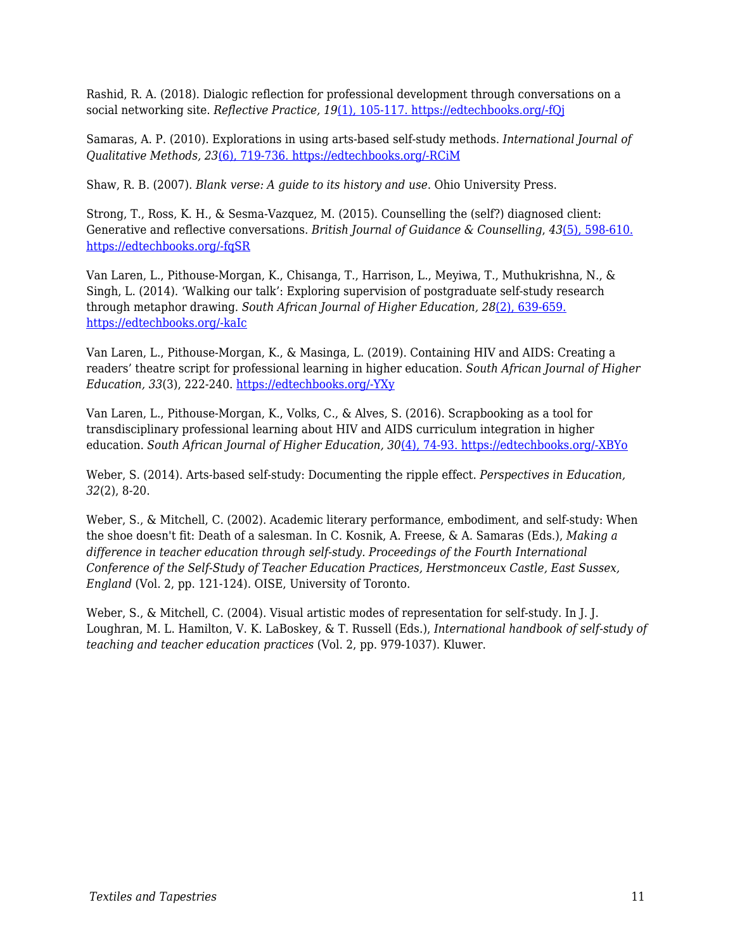Rashid, R. A. (2018). Dialogic reflection for professional development through conversations on a social networking site. *Reflective Practice, 19*[\(1\), 105-117. https://edtechbooks.org/-fQj](https://doi.org/10.1080/14623943.2017.1379385)

Samaras, A. P. (2010). Explorations in using arts-based self-study methods. *International Journal of Qualitative Methods, 23*[\(6\), 719-736. https://edtechbooks.org/-RCiM](https://doi.org/10.1080/09518390903426212)

Shaw, R. B. (2007). *Blank verse: A guide to its history and use*. Ohio University Press.

Strong, T., Ross, K. H., & Sesma-Vazquez, M. (2015). Counselling the (self?) diagnosed client: Generative and reflective conversations. *British Journal of Guidance & Counselling*, *43*[\(5\), 598-610.](https://doi.org/10.1080/03069885.2014.996736) [https://edtechbooks.org/-fqSR](https://doi.org/10.1080/03069885.2014.996736)

Van Laren, L., Pithouse-Morgan, K., Chisanga, T., Harrison, L., Meyiwa, T., Muthukrishna, N., & Singh, L. (2014). 'Walking our talk': Exploring supervision of postgraduate self-study research through metaphor drawing. *South African Journal of Higher Education, 28*[\(2\), 639-659.](https://doi.org/10.20853/28-2-346) [https://edtechbooks.org/-kaIc](https://doi.org/10.20853/28-2-346)

Van Laren, L., Pithouse-Morgan, K., & Masinga, L. (2019). Containing HIV and AIDS: Creating a readers' theatre script for professional learning in higher education. *South African Journal of Higher Education, 33*(3), 222-240. [https://edtechbooks.org/-YXy](https://doi.org/10.20853/33-3-2964)

Van Laren, L., Pithouse-Morgan, K., Volks, C., & Alves, S. (2016). Scrapbooking as a tool for transdisciplinary professional learning about HIV and AIDS curriculum integration in higher education. *South African Journal of Higher Education, 30*[\(4\), 74-93. https://edtechbooks.org/-XBYo](https://doi.org/10.20853/30-4-674)

Weber, S. (2014). Arts-based self-study: Documenting the ripple effect. *Perspectives in Education, 32*(2), 8-20.

Weber, S., & Mitchell, C. (2002). Academic literary performance, embodiment, and self-study: When the shoe doesn't fit: Death of a salesman. In C. Kosnik, A. Freese, & A. Samaras (Eds.), *Making a difference in teacher education through self-study. Proceedings of the Fourth International Conference of the Self-Study of Teacher Education Practices, Herstmonceux Castle, East Sussex, England* (Vol. 2, pp. 121-124). OISE, University of Toronto.

Weber, S., & Mitchell, C. (2004). Visual artistic modes of representation for self-study. In J. J. Loughran, M. L. Hamilton, V. K. LaBoskey, & T. Russell (Eds.), *International handbook of self-study of teaching and teacher education practices* (Vol. 2, pp. 979-1037). Kluwer.